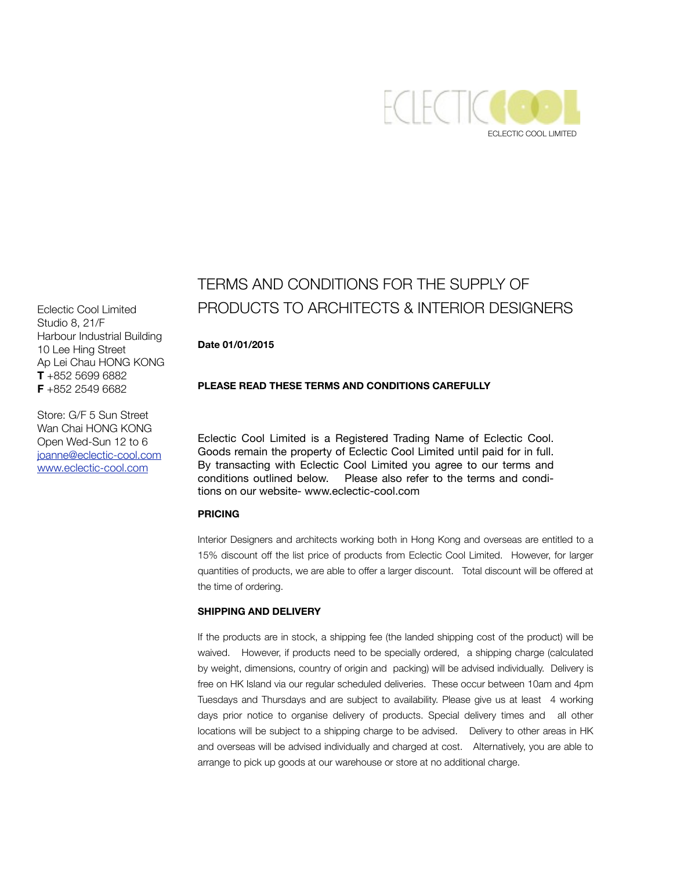

# TERMS AND CONDITIONS FOR THE SUPPLY OF PRODUCTS TO ARCHITECTS & INTERIOR DESIGNERS

## **Date 01/01/2015**

## **PLEASE READ THESE TERMS AND CONDITIONS CAREFULLY**

Eclectic Cool Limited is a Registered Trading Name of Eclectic Cool. Goods remain the property of Eclectic Cool Limited until paid for in full. By transacting with Eclectic Cool Limited you agree to our terms and conditions outlined below. Please also refer to the terms and conditions on our website- www.eclectic-cool.com

## **PRICING**

Interior Designers and architects working both in Hong Kong and overseas are entitled to a 15% discount off the list price of products from Eclectic Cool Limited. However, for larger quantities of products, we are able to offer a larger discount. Total discount will be offered at the time of ordering.

#### **SHIPPING AND DELIVERY**

If the products are in stock, a shipping fee (the landed shipping cost of the product) will be waived. However, if products need to be specially ordered, a shipping charge (calculated by weight, dimensions, country of origin and packing) will be advised individually. Delivery is free on HK Island via our regular scheduled deliveries. These occur between 10am and 4pm Tuesdays and Thursdays and are subject to availability. Please give us at least 4 working days prior notice to organise delivery of products. Special delivery times and all other locations will be subject to a shipping charge to be advised. Delivery to other areas in HK and overseas will be advised individually and charged at cost. Alternatively, you are able to arrange to pick up goods at our warehouse or store at no additional charge.

Eclectic Cool Limited Studio 8, 21/F Harbour Industrial Building 10 Lee Hing Street Ap Lei Chau HONG KONG **T** +852 5699 6882 **F** +852 2549 6682

Store: G/F 5 Sun Street Wan Chai HONG KONG Open Wed-Sun 12 to 6 [joanne@eclectic-cool.com](mailto:joanne@eclectic-cool.com) [www.eclectic-cool.com](http://www.eclectic-cool.com)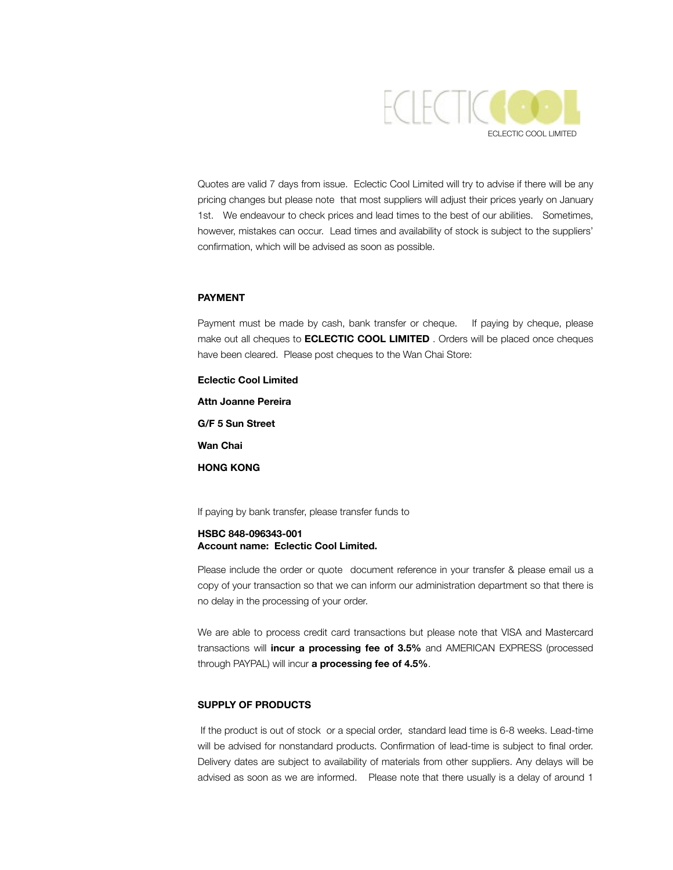

Quotes are valid 7 days from issue. Eclectic Cool Limited will try to advise if there will be any pricing changes but please note that most suppliers will adjust their prices yearly on January 1st. We endeavour to check prices and lead times to the best of our abilities. Sometimes, however, mistakes can occur. Lead times and availability of stock is subject to the suppliers' confirmation, which will be advised as soon as possible.

### **PAYMENT**

Payment must be made by cash, bank transfer or cheque. If paying by cheque, please make out all cheques to **ECLECTIC COOL LIMITED** . Orders will be placed once cheques have been cleared. Please post cheques to the Wan Chai Store:

**Eclectic Cool Limited Attn Joanne Pereira G/F 5 Sun Street Wan Chai HONG KONG** 

If paying by bank transfer, please transfer funds to

#### **HSBC 848-096343-001 Account name: Eclectic Cool Limited.**

Please include the order or quote document reference in your transfer & please email us a copy of your transaction so that we can inform our administration department so that there is no delay in the processing of your order.

We are able to process credit card transactions but please note that VISA and Mastercard transactions will **incur a processing fee of 3.5%** and AMERICAN EXPRESS (processed through PAYPAL) will incur **a processing fee of 4.5%**.

#### **SUPPLY OF PRODUCTS**

 If the product is out of stock or a special order, standard lead time is 6-8 weeks. Lead-time will be advised for nonstandard products. Confirmation of lead-time is subject to final order. Delivery dates are subject to availability of materials from other suppliers. Any delays will be advised as soon as we are informed. Please note that there usually is a delay of around 1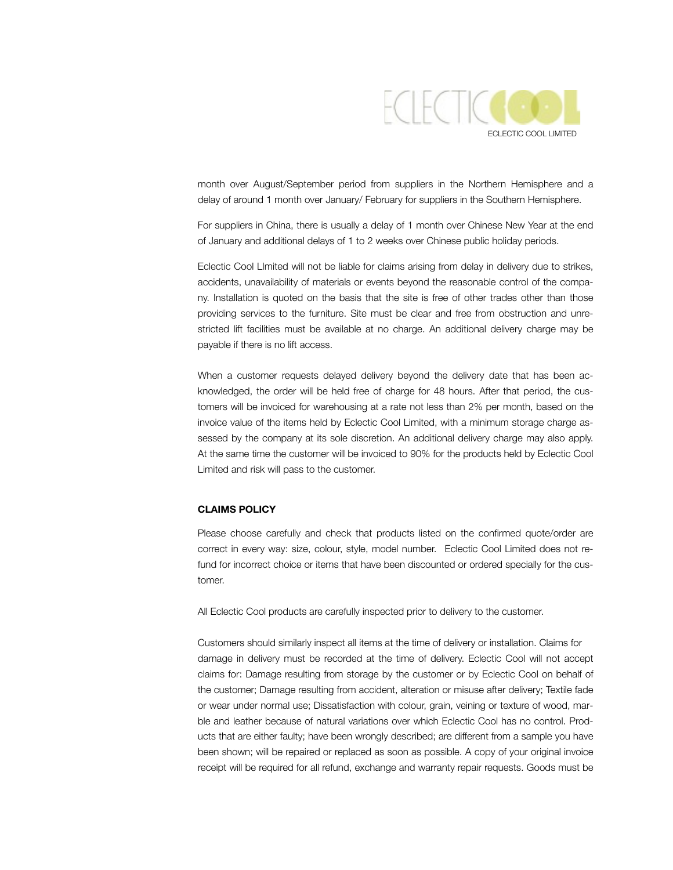

month over August/September period from suppliers in the Northern Hemisphere and a delay of around 1 month over January/ February for suppliers in the Southern Hemisphere.

For suppliers in China, there is usually a delay of 1 month over Chinese New Year at the end of January and additional delays of 1 to 2 weeks over Chinese public holiday periods.

Eclectic Cool LImited will not be liable for claims arising from delay in delivery due to strikes, accidents, unavailability of materials or events beyond the reasonable control of the company. Installation is quoted on the basis that the site is free of other trades other than those providing services to the furniture. Site must be clear and free from obstruction and unrestricted lift facilities must be available at no charge. An additional delivery charge may be payable if there is no lift access.

When a customer requests delayed delivery beyond the delivery date that has been acknowledged, the order will be held free of charge for 48 hours. After that period, the customers will be invoiced for warehousing at a rate not less than 2% per month, based on the invoice value of the items held by Eclectic Cool Limited, with a minimum storage charge assessed by the company at its sole discretion. An additional delivery charge may also apply. At the same time the customer will be invoiced to 90% for the products held by Eclectic Cool Limited and risk will pass to the customer.

## **CLAIMS POLICY**

Please choose carefully and check that products listed on the confirmed quote/order are correct in every way: size, colour, style, model number. Eclectic Cool Limited does not refund for incorrect choice or items that have been discounted or ordered specially for the customer.

All Eclectic Cool products are carefully inspected prior to delivery to the customer.

Customers should similarly inspect all items at the time of delivery or installation. Claims for damage in delivery must be recorded at the time of delivery. Eclectic Cool will not accept claims for: Damage resulting from storage by the customer or by Eclectic Cool on behalf of the customer; Damage resulting from accident, alteration or misuse after delivery; Textile fade or wear under normal use; Dissatisfaction with colour, grain, veining or texture of wood, marble and leather because of natural variations over which Eclectic Cool has no control. Products that are either faulty; have been wrongly described; are different from a sample you have been shown; will be repaired or replaced as soon as possible. A copy of your original invoice receipt will be required for all refund, exchange and warranty repair requests. Goods must be